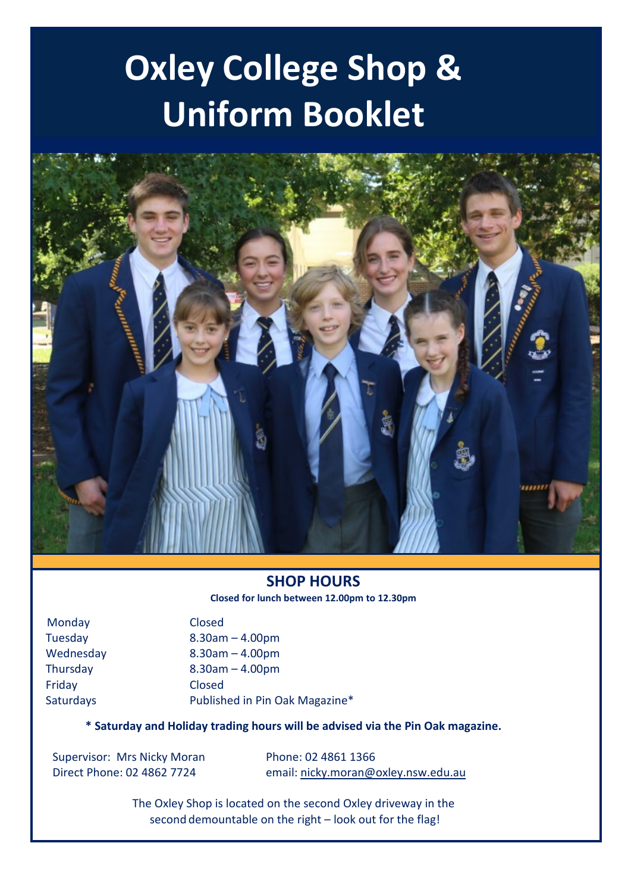# **Oxley College Shop & Uniform Booklet**



#### **SHOP HOURS Closed for lunch between 12.00pm to 12.30pm**

 Monday Closed Friday Closed

 Tuesday 8.30am – 4.00pm Wednesday 8.30am – 4.00pm Thursday 8.30am – 4.00pm Saturdays Published in Pin Oak Magazine\*

**\* Saturday and Holiday trading hours will be advised via the Pin Oak magazine.**

Supervisor: Mrs Nicky Moran Phone: 02 4861 1366

Direct Phone: 02 4862 7724 email[: nicky.moran@oxley.nsw.edu.au](mailto:nicky.moran@oxley.nsw.edu.au)

The Oxley Shop is located on the second Oxley driveway in the second demountable on the right – look out for the flag!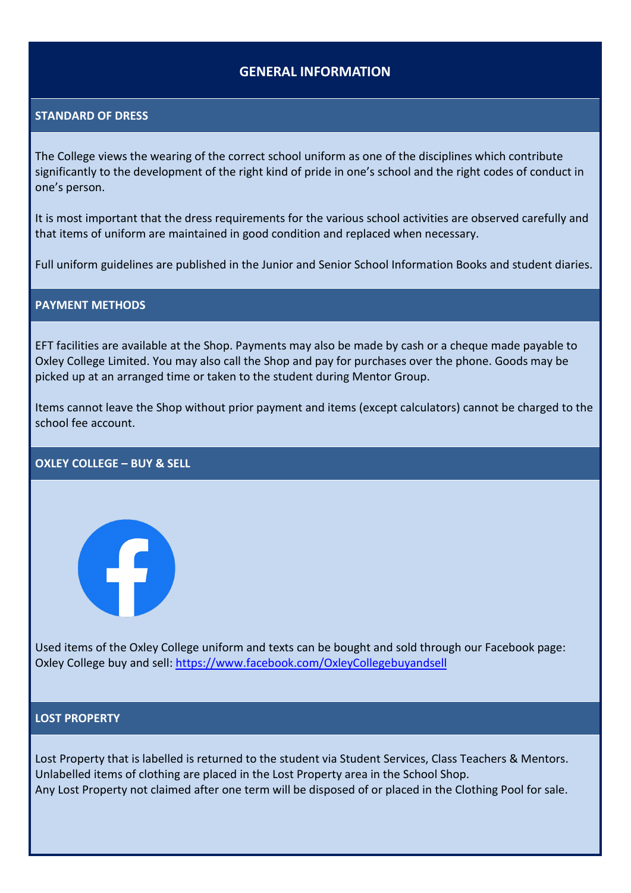### **GENERAL INFORMATION**

#### **STANDARD OF DRESS**

The College views the wearing of the correct school uniform as one of the disciplines which contribute significantly to the development of the right kind of pride in one's school and the right codes of conduct in one's person.

It is most important that the dress requirements for the various school activities are observed carefully and that items of uniform are maintained in good condition and replaced when necessary.

Full uniform guidelines are published in the Junior and Senior School Information Books and student diaries.

#### **PAYMENT METHODS**

EFT facilities are available at the Shop. Payments may also be made by cash or a cheque made payable to Oxley College Limited. You may also call the Shop and pay for purchases over the phone. Goods may be picked up at an arranged time or taken to the student during Mentor Group.

Items cannot leave the Shop without prior payment and items (except calculators) cannot be charged to the school fee account.

#### **OXLEY COLLEGE – BUY & SELL**



Used items of the Oxley College uniform and texts can be bought and sold through our Facebook page: Oxley College buy and sell: <https://www.facebook.com/OxleyCollegebuyandsell>

#### **LOST PROPERTY**

Lost Property that is labelled is returned to the student via Student Services, Class Teachers & Mentors. Unlabelled items of clothing are placed in the Lost Property area in the School Shop. Any Lost Property not claimed after one term will be disposed of or placed in the Clothing Pool for sale.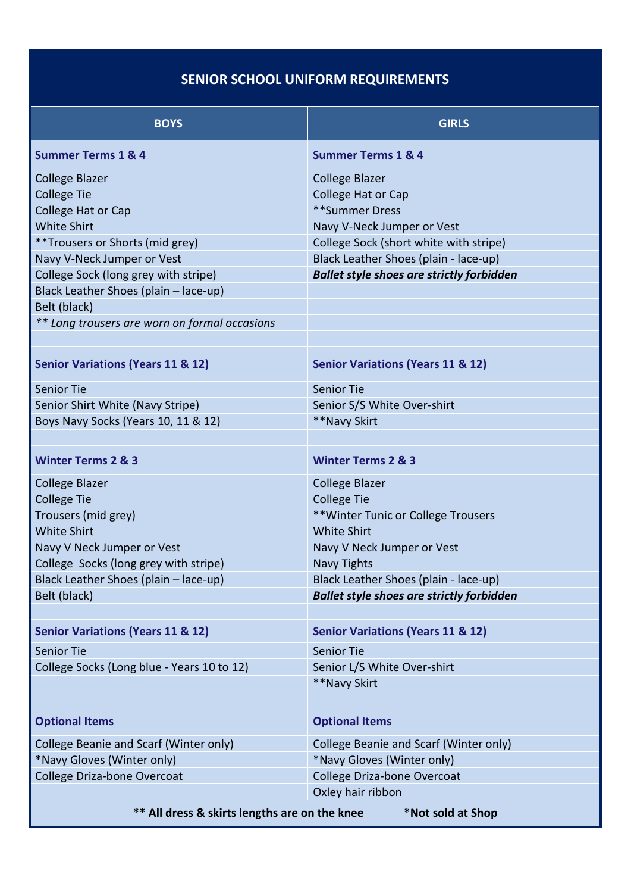# **SENIOR SCHOOL UNIFORM REQUIREMENTS**

| <b>BOYS</b>                                                        | <b>GIRLS</b>                                     |  |
|--------------------------------------------------------------------|--------------------------------------------------|--|
| <b>Summer Terms 1 &amp; 4</b>                                      | <b>Summer Terms 1 &amp; 4</b>                    |  |
| <b>College Blazer</b>                                              | <b>College Blazer</b>                            |  |
| <b>College Tie</b>                                                 | College Hat or Cap                               |  |
| College Hat or Cap                                                 | **Summer Dress                                   |  |
| <b>White Shirt</b>                                                 | Navy V-Neck Jumper or Vest                       |  |
| **Trousers or Shorts (mid grey)                                    | College Sock (short white with stripe)           |  |
| Navy V-Neck Jumper or Vest                                         | Black Leather Shoes (plain - lace-up)            |  |
| College Sock (long grey with stripe)                               | <b>Ballet style shoes are strictly forbidden</b> |  |
| Black Leather Shoes (plain - lace-up)                              |                                                  |  |
| Belt (black)                                                       |                                                  |  |
| ** Long trousers are worn on formal occasions                      |                                                  |  |
| <b>Senior Variations (Years 11 &amp; 12)</b>                       | <b>Senior Variations (Years 11 &amp; 12)</b>     |  |
| <b>Senior Tie</b>                                                  | <b>Senior Tie</b>                                |  |
| Senior Shirt White (Navy Stripe)                                   | Senior S/S White Over-shirt                      |  |
| Boys Navy Socks (Years 10, 11 & 12)                                | **Navy Skirt                                     |  |
|                                                                    |                                                  |  |
| <b>Winter Terms 2 &amp; 3</b>                                      | <b>Winter Terms 2 &amp; 3</b>                    |  |
| <b>College Blazer</b>                                              | <b>College Blazer</b>                            |  |
| <b>College Tie</b>                                                 | <b>College Tie</b>                               |  |
| Trousers (mid grey)                                                | ** Winter Tunic or College Trousers              |  |
| <b>White Shirt</b>                                                 | <b>White Shirt</b>                               |  |
| Navy V Neck Jumper or Vest                                         | Navy V Neck Jumper or Vest                       |  |
| College Socks (long grey with stripe)                              | <b>Navy Tights</b>                               |  |
| Black Leather Shoes (plain - lace-up)                              | Black Leather Shoes (plain - lace-up)            |  |
| Belt (black)                                                       | <b>Ballet style shoes are strictly forbidden</b> |  |
| <b>Senior Variations (Years 11 &amp; 12)</b>                       | <b>Senior Variations (Years 11 &amp; 12)</b>     |  |
| <b>Senior Tie</b>                                                  | <b>Senior Tie</b>                                |  |
| College Socks (Long blue - Years 10 to 12)                         | Senior L/S White Over-shirt                      |  |
|                                                                    | **Navy Skirt                                     |  |
| <b>Optional Items</b>                                              | <b>Optional Items</b>                            |  |
| College Beanie and Scarf (Winter only)                             | College Beanie and Scarf (Winter only)           |  |
| *Navy Gloves (Winter only)                                         | *Navy Gloves (Winter only)                       |  |
| College Driza-bone Overcoat                                        | College Driza-bone Overcoat                      |  |
|                                                                    | Oxley hair ribbon                                |  |
| ** All dress & skirts lengths are on the knee<br>*Not sold at Shop |                                                  |  |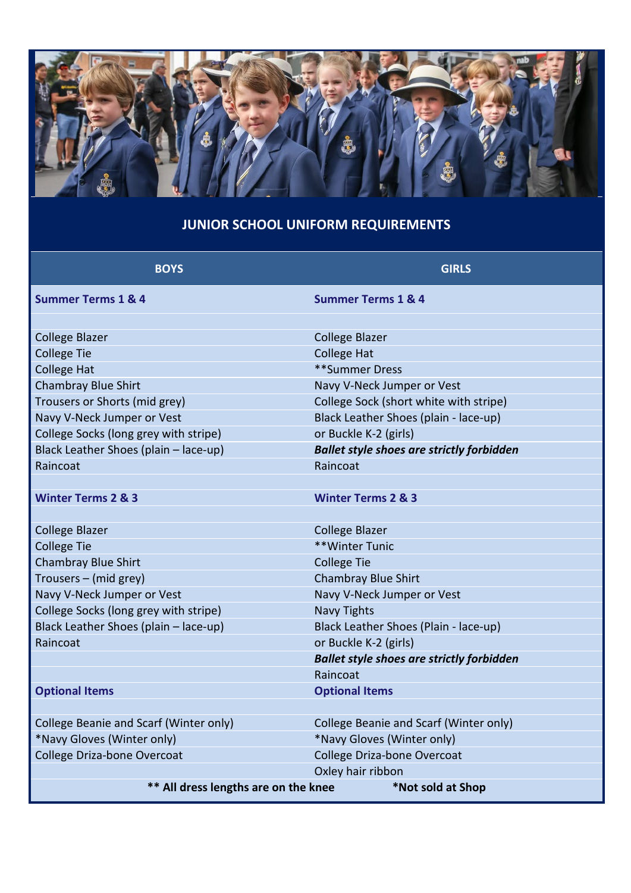

# **JUNIOR SCHOOL UNIFORM REQUIREMENTS**

| <b>BOYS</b>                            | <b>GIRLS</b>                                     |
|----------------------------------------|--------------------------------------------------|
| <b>Summer Terms 1 &amp; 4</b>          | <b>Summer Terms 1 &amp; 4</b>                    |
|                                        |                                                  |
| <b>College Blazer</b>                  | <b>College Blazer</b>                            |
| <b>College Tie</b>                     | <b>College Hat</b>                               |
| <b>College Hat</b>                     | **Summer Dress                                   |
| <b>Chambray Blue Shirt</b>             | Navy V-Neck Jumper or Vest                       |
| Trousers or Shorts (mid grey)          | College Sock (short white with stripe)           |
| Navy V-Neck Jumper or Vest             | Black Leather Shoes (plain - lace-up)            |
| College Socks (long grey with stripe)  | or Buckle K-2 (girls)                            |
| Black Leather Shoes (plain - lace-up)  | <b>Ballet style shoes are strictly forbidden</b> |
| Raincoat                               | Raincoat                                         |
|                                        |                                                  |
| <b>Winter Terms 2 &amp; 3</b>          | <b>Winter Terms 2 &amp; 3</b>                    |
|                                        |                                                  |
| <b>College Blazer</b>                  | <b>College Blazer</b>                            |
| <b>College Tie</b>                     | **Winter Tunic                                   |
| <b>Chambray Blue Shirt</b>             | <b>College Tie</b>                               |
| Trousers - (mid grey)                  | <b>Chambray Blue Shirt</b>                       |
| Navy V-Neck Jumper or Vest             | Navy V-Neck Jumper or Vest                       |
| College Socks (long grey with stripe)  | <b>Navy Tights</b>                               |
| Black Leather Shoes (plain - lace-up)  | Black Leather Shoes (Plain - lace-up)            |
| Raincoat                               | or Buckle K-2 (girls)                            |
|                                        | <b>Ballet style shoes are strictly forbidden</b> |
|                                        | Raincoat                                         |
| <b>Optional Items</b>                  | <b>Optional Items</b>                            |
|                                        |                                                  |
| College Beanie and Scarf (Winter only) | College Beanie and Scarf (Winter only)           |
| *Navy Gloves (Winter only)             | *Navy Gloves (Winter only)                       |
| College Driza-bone Overcoat            | College Driza-bone Overcoat                      |
|                                        | Oxley hair ribbon                                |
| ** All dress lengths are on the knee   | *Not sold at Shop                                |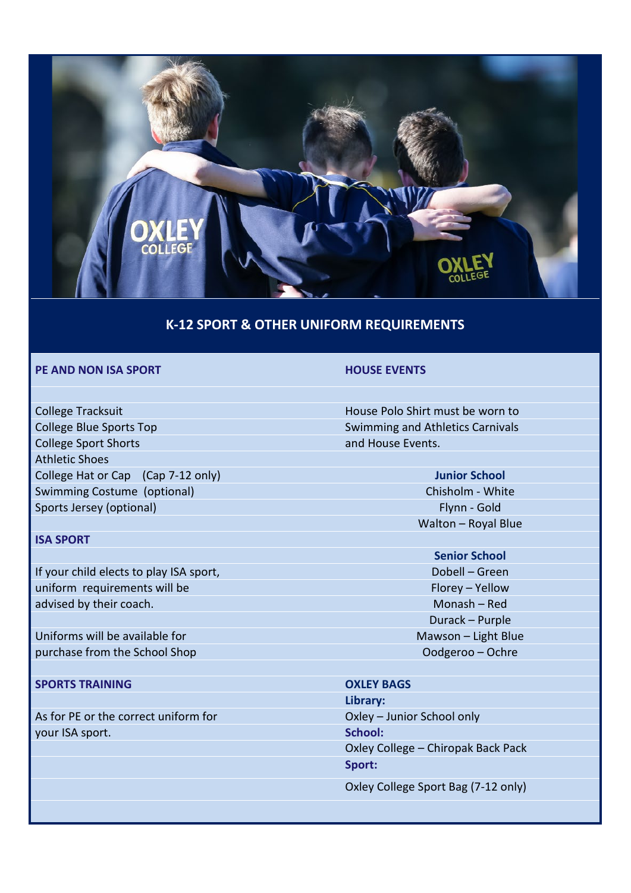

#### **K-12 SPORT & OTHER UNIFORM REQUIREMENTS**

#### **PE AND NON ISA SPORT HOUSE EVENTS**

College Tracksuit **College Tracksuit House Polo Shirt must be worn to** College Blue Sports Top Swimming and Athletics Carnivals College Sport Shorts and House Events. Athletic Shoes College Hat or Cap (Cap 7-12 only) **Junior School** Swimming Costume (optional) Chisholm - White Chisholm - White Sports Jersey (optional) Flynn - Gold

#### **ISA SPORT**

If your child elects to play ISA sport, Dobell – Green uniform requirements will be Florey – Yellow advised by their coach. Monash – Red

Uniforms will be available for Mawson – Light Blue purchase from the School Shop **Oodgeroo – Ochre** Oodgeroo – Ochre

#### **SPORTS TRAINING OXLEY BAGS**

As for PE or the correct uniform for **Oxley – Junior School only** your ISA sport. **School:**

- Walton Royal Blue
- **Senior School** Durack – Purple

**Library:** Oxley College – Chiropak Back Pack **Sport:**

Oxley College Sport Bag (7-12 only)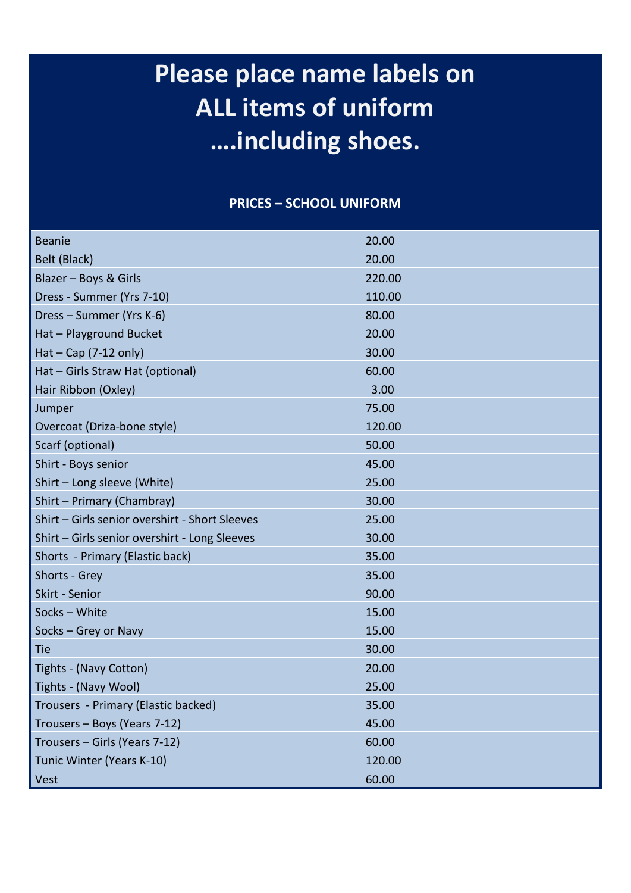# **Please place name labels on ALL items of uniform ….including shoes.**

#### **PRICES – SCHOOL UNIFORM**

| <b>Beanie</b>                                  | 20.00  |
|------------------------------------------------|--------|
| Belt (Black)                                   | 20.00  |
| Blazer - Boys & Girls                          | 220.00 |
| Dress - Summer (Yrs 7-10)                      | 110.00 |
| Dress - Summer (Yrs K-6)                       | 80.00  |
| Hat - Playground Bucket                        | 20.00  |
| Hat $-$ Cap (7-12 only)                        | 30.00  |
| Hat - Girls Straw Hat (optional)               | 60.00  |
| Hair Ribbon (Oxley)                            | 3.00   |
| Jumper                                         | 75.00  |
| Overcoat (Driza-bone style)                    | 120.00 |
| Scarf (optional)                               | 50.00  |
| Shirt - Boys senior                            | 45.00  |
| Shirt - Long sleeve (White)                    | 25.00  |
| Shirt - Primary (Chambray)                     | 30.00  |
| Shirt - Girls senior overshirt - Short Sleeves | 25.00  |
| Shirt - Girls senior overshirt - Long Sleeves  | 30.00  |
| Shorts - Primary (Elastic back)                | 35.00  |
| Shorts - Grey                                  | 35.00  |
| Skirt - Senior                                 | 90.00  |
| Socks - White                                  | 15.00  |
| Socks - Grey or Navy                           | 15.00  |
| <b>Tie</b>                                     | 30.00  |
| Tights - (Navy Cotton)                         | 20.00  |
| Tights - (Navy Wool)                           | 25.00  |
| Trousers - Primary (Elastic backed)            | 35.00  |
| Trousers - Boys (Years 7-12)                   | 45.00  |
| Trousers - Girls (Years 7-12)                  | 60.00  |
| Tunic Winter (Years K-10)                      | 120.00 |
| Vest                                           | 60.00  |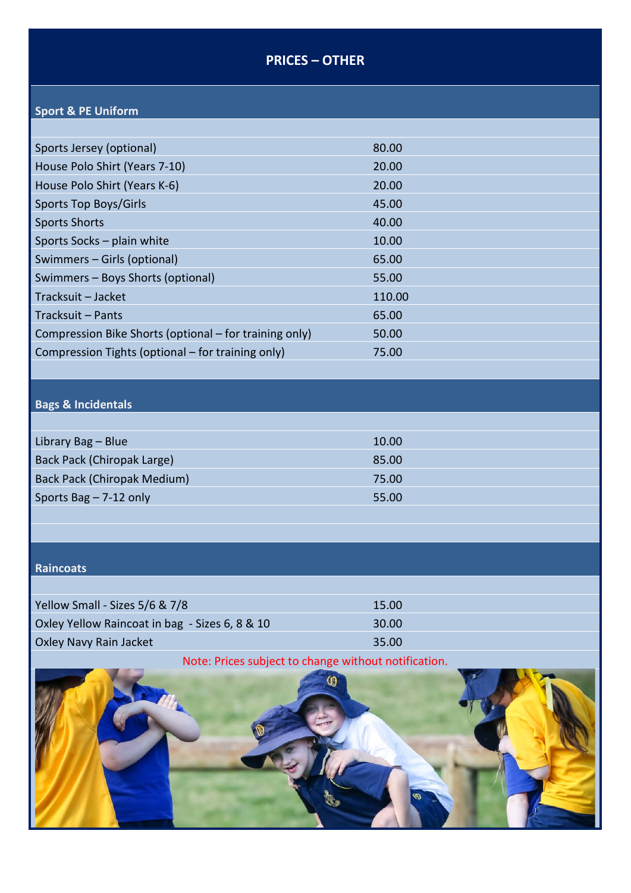# **PRICES – OTHER**

# **Sport & PE Uniform**

| Sports Jersey (optional)                               | 80.00  |
|--------------------------------------------------------|--------|
| House Polo Shirt (Years 7-10)                          | 20.00  |
| House Polo Shirt (Years K-6)                           | 20.00  |
| Sports Top Boys/Girls                                  | 45.00  |
| <b>Sports Shorts</b>                                   | 40.00  |
| Sports Socks - plain white                             | 10.00  |
| Swimmers - Girls (optional)                            | 65.00  |
| Swimmers – Boys Shorts (optional)                      | 55.00  |
| Tracksuit – Jacket                                     | 110.00 |
| Tracksuit - Pants                                      | 65.00  |
| Compression Bike Shorts (optional – for training only) | 50.00  |
| Compression Tights (optional – for training only)      | 75.00  |
|                                                        |        |

# **Bags & Incidentals**

| Library Bag - Blue                 | 10.00 |
|------------------------------------|-------|
| Back Pack (Chiropak Large)         | 85.00 |
| <b>Back Pack (Chiropak Medium)</b> | 75.00 |
| Sports Bag $- 7-12$ only           | 55.00 |
|                                    |       |

#### **Raincoats**

| Yellow Small - Sizes 5/6 & 7/8                 | 15.00 |
|------------------------------------------------|-------|
| Oxley Yellow Raincoat in bag - Sizes 6, 8 & 10 | 30.00 |
| Oxley Navy Rain Jacket                         | 35.00 |

# Note: Prices subject to change without notification.